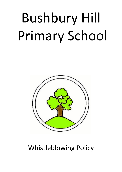# Bushbury Hill Primary School



# Whistleblowing Policy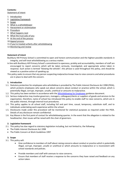# **Contents:**

[Statement of intent](#page-1-0)

- 1. [Introduction](#page-1-1)
- 2. [Legislative framework](#page-1-2)
- 3. [Scope](#page-1-3)
- 4. [What is a whistleblower](#page-2-0)
- 5. [Harassment or victimisation](#page-2-1)
- 6. [Procedure](#page-2-2)
- 7. [What happens next](#page-2-3)
- 8. [What the trust asks of you](#page-3-0)
- 9. [At the end of the process](#page-3-1)
- 10[.Appeal process](#page-3-2)
- 11.[If you're treated unfairly after](#page-3-3) whistleblowing
- 12[.Monitoring and review](#page-3-4)

## <span id="page-1-0"></span>**Statement of intent**

Bushbury Hill Primary School is committed to open and honest communication and the highest possible standards in integrity, and will treat whistleblowing as a serious matter.

- In line with Bushbury Hill Primary School's commitment to openness, probity and accountability, members of staff are encouraged to report concerns which will be taken seriously, investigated, and appropriate action taken in response. Such action is termed "blowing the whistle"; this phrase is used throughout this policy, and should be viewed as a positive action of speaking up.
- This policy seeks to ensure that any person suspecting malpractice knows how to raise concerns and what procedures are in place to deal with the concern.

## <span id="page-1-1"></span>**1. Introduction**

- 1.1. Statutory protection for employees who whistleblow is provided by The Public Interest Disclosure Act 1998 (PIDA), which protects employees who speak out about concerns about conduct or practice within the school, which is potentially illegal, corrupt, improper, unsafe, unethical or amounts to malpractice.
- 1.2. This policy has been written in accordance with the [Whistleblowing for Employees](https://www.gov.uk/whistleblowing) guidance document.
- 1.3. Serious malpractice may involve governors, managers, colleagues/clients or suppliers of goods and services to the organisation, therefore, name of school has introduced this policy to enable staff to raise concerns, which are in the public interest, through internal trust procedures.
- 1.4. This policy applies to all school staff, including full and part time, casual, temporary, substitute staff, and to individuals undertaking work experience within the school.
- 1.5. Disclosures made under this procedure will be monitored for statistical purposes as required under the PIDA. Details of any disclosure remain confidential.
- 1.6. Kay Mason is the first point of contact for whistleblowing queries. In the event that the allegation is related to the headteacher, then issues will be raised with the chair of governors.

# <span id="page-1-2"></span>**2. Legislative framework**

- 2.1. This policy has due regard to statutory legislation including, but not limited to, the following:
	- The Public Interest Disclosure Act 1998
	- The Public Concern at Work Guidelines 1997

#### <span id="page-1-3"></span>**3. Scope**

- 3.1. This policy will:
	- Give confidence to members of staff about raising concerns about conduct or practice which is potentially illegal, corrupt, improper, unsafe or unethical or which amounts to malpractice or is inconsistent with school standards and policies.
	- Provide members and staff with avenues to raise concerns.
	- Ensure that members of staff receive a response to the concerns they have raised and feedback on any action taken.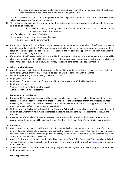- Offer assurance that members of staff are protected from reprisals or victimisation for whistleblowing action undertaken in good faith and within the meaning of the PIDA.
- 3.2. This policy will not be confused with the procedure on dealing with harassment at work or Bushbury Hill Primary School's Grievance and Disciplinary procedures.
- 3.3. This policy will complement the aforementioned procedures by covering concerns that fall outside their scope, such as issues relating to:
	- Unlawful conduct, including financial or fraudulent malpractice such as embezzlement, bribery, corruption, dishonesty, etc.
	- Establishment standards of practice.
	- Improper conduct or a miscarriage of justice.
	- Risks or damages to the environment.
- 3.4. Bushbury Hill Primary School will not tolerate harassment or victimisation of members of staff when matters are raised in accordance with the PIDA. Any member of staff who victimises or harasses another member of staff, as a result of their having raised a concern in accordance with the whistleblowing policy, will be dealt with under the school's staff disciplinary procedures.
- 3.5. If a member of staff makes an allegation in good faith but it is not confirmed by further inquiry, the matter will be closed and no further action will be taken; however, if the inquiry shows that untrue allegations were malicious or made for personal gain, then Bushbury Hill Primary School will consider taking disciplinary action.

#### <span id="page-2-0"></span>**4. What is a whistleblower**

- 4.1. A whistleblower is an individual who discloses confidential information regarding an employee, which relates to some danger, fraud or other illegal or unethical conduct which is connected with the workplace.
- 4.2. Under this policy, any of the following can raise a concern:
	- Employees of the school.
	- Employees of contractors working for the school for example, agency staff, builders and drivers.
	- Employees of suppliers.
	- Voluntary workers working with the school.
	- A trainee, such as a student teacher.

#### <span id="page-2-1"></span>**5. Harassment or victimisation**

- 5.1. Bushbury Hill Primary School recognises that the decision to report a concern can be a difficult one to take, not least because of the fear of reprisal from those responsible for the malpractice or from the school as a whole; however, the school will not tolerate any such harassment or victimisation and will take appropriate action in order to protect staff who raise a concern in good faith.
- 5.2. Staff are protected in law by the Public Interest Disclosure Act, which gives employees protection from detriment and dismissal where they have made a protected disclosure, providing the legal requirements of the Act are satisfied.
- 5.3. Any member of staff who victimises or harasses a member of staff as a result of their having raised a concern in accordance with this policy will be dealt with under Bushbury Hill Primary School's staff disciplinary procedures.

#### <span id="page-2-2"></span>**6. Procedure**

- 6.1. Concerns will be expressed in writing to the headteacher, and will include: background and history of the concern, names, dates and places where possible, and express the reasons for the concern. Individuals are encouraged to let themselves be known, either in person, or through their union representative, as concerns expressed anonymously are difficult to investigate.
- 6.2. Anyone feeling unsure can seek confidential advice at any time from Public Concern at Work, a registered charity which advises on serious malpractice in the workplace. For more information, visit their [website](http://www.pcaw.co.uk/) or ring them on 020 7404 6609.
- 6.3. The whistleblower is not responsible for investigating the alleged illegal or dishonest activity, or for determining fault or corrective measures.

#### <span id="page-2-3"></span>**7. What happens next**